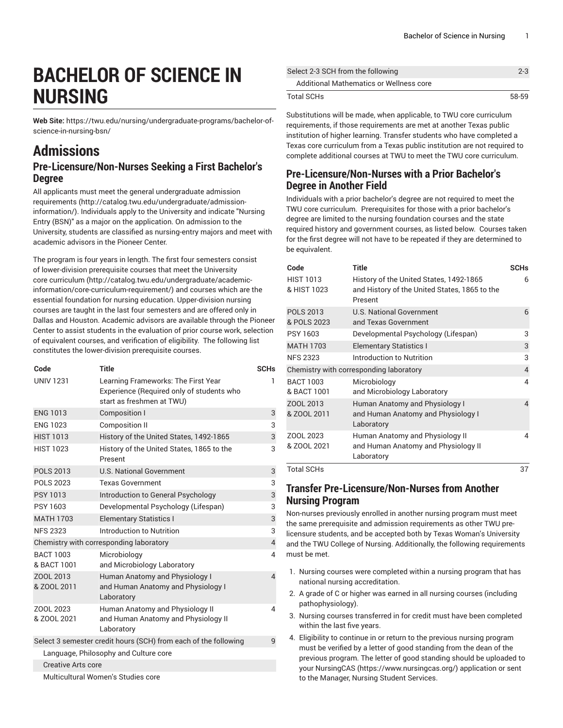# **BACHELOR OF SCIENCE IN NURSING**

**Web Site:** https://twu.edu/nursing/undergraduate-programs/bachelor-ofscience-in-nursing-bsn/

## **Admissions**

#### **Pre-Licensure/Non-Nurses Seeking a First Bachelor's Degree**

All applicants must meet the general [undergraduate](http://catalog.twu.edu/undergraduate/admission-information/) admission [requirements \(http://catalog.twu.edu/undergraduate/admission](http://catalog.twu.edu/undergraduate/admission-information/)[information/](http://catalog.twu.edu/undergraduate/admission-information/)). Individuals apply to the University and indicate "Nursing Entry (BSN)" as a major on the application. On admission to the University, students are classified as nursing-entry majors and meet with academic advisors in the Pioneer Center.

The program is four years in length. The first four semesters consist of lower-division prerequisite courses that meet the [University](http://catalog.twu.edu/undergraduate/academic-information/core-curriculum-requirement/) core [curriculum](http://catalog.twu.edu/undergraduate/academic-information/core-curriculum-requirement/) ([http://catalog.twu.edu/undergraduate/academic](http://catalog.twu.edu/undergraduate/academic-information/core-curriculum-requirement/)[information/core-curriculum-requirement/](http://catalog.twu.edu/undergraduate/academic-information/core-curriculum-requirement/)) and courses which are the essential foundation for nursing education. Upper-division nursing courses are taught in the last four semesters and are offered only in Dallas and Houston. Academic advisors are available through the Pioneer Center to assist students in the evaluation of prior course work, selection of equivalent courses, and verification of eligibility. The following list constitutes the lower-division prerequisite courses.

| Code                                                            | <b>Title</b>                                                                                                  | <b>SCHs</b>    |  |
|-----------------------------------------------------------------|---------------------------------------------------------------------------------------------------------------|----------------|--|
| <b>UNIV 1231</b>                                                | Learning Frameworks: The First Year<br>Experience (Required only of students who<br>start as freshmen at TWU) | 1              |  |
| <b>ENG 1013</b>                                                 | Composition I                                                                                                 | 3              |  |
| <b>ENG 1023</b>                                                 | <b>Composition II</b>                                                                                         | 3              |  |
| <b>HIST 1013</b>                                                | History of the United States, 1492-1865                                                                       | 3              |  |
| <b>HIST 1023</b>                                                | History of the United States, 1865 to the<br>Present                                                          | 3              |  |
| <b>POLS 2013</b>                                                | <b>U.S. National Government</b>                                                                               | 3              |  |
| <b>POLS 2023</b>                                                | <b>Texas Government</b>                                                                                       | 3              |  |
| <b>PSY 1013</b>                                                 | Introduction to General Psychology                                                                            | 3              |  |
| PSY 1603                                                        | Developmental Psychology (Lifespan)                                                                           | 3              |  |
| <b>MATH 1703</b>                                                | <b>Elementary Statistics I</b>                                                                                | 3              |  |
| <b>NFS 2323</b>                                                 | Introduction to Nutrition                                                                                     | 3              |  |
| Chemistry with corresponding laboratory                         |                                                                                                               |                |  |
| <b>BACT 1003</b><br>& BACT 1001                                 | Microbiology<br>and Microbiology Laboratory                                                                   | 4              |  |
| ZOOL 2013<br>& ZOOL 2011                                        | Human Anatomy and Physiology I<br>and Human Anatomy and Physiology I<br>Laboratory                            | $\overline{4}$ |  |
| ZOOL 2023<br>& ZOOL 2021                                        | Human Anatomy and Physiology II<br>and Human Anatomy and Physiology II<br>Laboratory                          | 4              |  |
| Select 3 semester credit hours (SCH) from each of the following |                                                                                                               |                |  |
| Language, Philosophy and Culture core                           |                                                                                                               |                |  |
| Creative Arts core                                              |                                                                                                               |                |  |
| Multicultural Women's Studies core                              |                                                                                                               |                |  |

| Select 2-3 SCH from the following       | $2 - 3$ |
|-----------------------------------------|---------|
| Additional Mathematics or Wellness core |         |
| <b>Total SCHs</b>                       | 58-59   |

Substitutions will be made, when applicable, to TWU core curriculum requirements, if those requirements are met at another Texas public institution of higher learning. Transfer students who have completed a Texas core curriculum from a Texas public institution are not required to complete additional courses at TWU to meet the TWU core curriculum.

#### **Pre-Licensure/Non-Nurses with a Prior Bachelor's Degree in Another Field**

Individuals with a prior bachelor's degree are not required to meet the TWU core curriculum. Prerequisites for those with a prior bachelor's degree are limited to the nursing foundation courses and the state required history and government courses, as listed below. Courses taken for the first degree will not have to be repeated if they are determined to be equivalent.

| Code                                    | <b>Title</b>                                                                                        | <b>SCHs</b> |
|-----------------------------------------|-----------------------------------------------------------------------------------------------------|-------------|
| <b>HIST 1013</b><br>& HIST 1023         | History of the United States, 1492-1865<br>and History of the United States, 1865 to the<br>Present | 6           |
| <b>POLS 2013</b><br>& POLS 2023         | <b>U.S. National Government</b><br>and Texas Government                                             | 6           |
| PSY 1603                                | Developmental Psychology (Lifespan)                                                                 | 3           |
| <b>MATH 1703</b>                        | <b>Elementary Statistics I</b>                                                                      | 3           |
| <b>NFS 2323</b>                         | Introduction to Nutrition                                                                           | 3           |
| Chemistry with corresponding laboratory |                                                                                                     |             |
| <b>BACT 1003</b><br>& BACT 1001         | Microbiology<br>and Microbiology Laboratory                                                         | 4           |
| ZOOL 2013<br>& ZOOL 2011                | Human Anatomy and Physiology I<br>and Human Anatomy and Physiology I<br>Laboratory                  | 4           |
| ZOOL 2023<br>& ZOOL 2021                | Human Anatomy and Physiology II<br>and Human Anatomy and Physiology II<br>Laboratory                | 4           |
| <b>Total SCHs</b>                       |                                                                                                     | 37          |

#### **Transfer Pre-Licensure/Non-Nurses from Another Nursing Program**

Non-nurses previously enrolled in another nursing program must meet the same prerequisite and admission requirements as other TWU prelicensure students, and be accepted both by Texas Woman's University and the TWU College of Nursing. Additionally, the following requirements must be met.

- 1. Nursing courses were completed within a nursing program that has national nursing accreditation.
- 2. A grade of C or higher was earned in all nursing courses (including pathophysiology).
- 3. Nursing courses transferred in for credit must have been completed within the last five years.
- 4. Eligibility to continue in or return to the previous nursing program must be verified by a letter of good standing from the dean of the previous program. The letter of good standing should be uploaded to your [NursingCAS \(https://www.nursingcas.org/\)](https://www.nursingcas.org/) application or sent to the Manager, Nursing Student Services.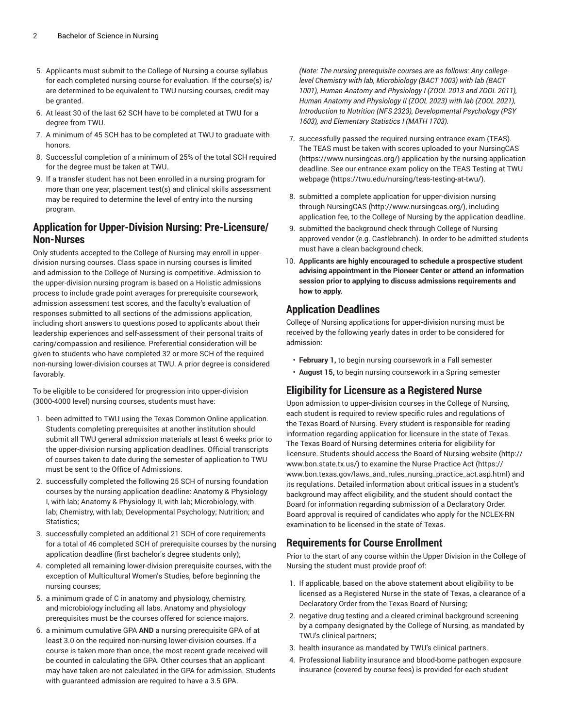- 5. Applicants must submit to the College of Nursing a course syllabus for each completed nursing course for evaluation. If the course(s) is/ are determined to be equivalent to TWU nursing courses, credit may be granted.
- 6. At least 30 of the last 62 SCH have to be completed at TWU for a degree from TWU.
- 7. A minimum of 45 SCH has to be completed at TWU to graduate with honors.
- 8. Successful completion of a minimum of 25% of the total SCH required for the degree must be taken at TWU.
- 9. If a transfer student has not been enrolled in a nursing program for more than one year, placement test(s) and clinical skills assessment may be required to determine the level of entry into the nursing program.

#### **Application for Upper-Division Nursing: Pre-Licensure/ Non-Nurses**

Only students accepted to the College of Nursing may enroll in upperdivision nursing courses. Class space in nursing courses is limited and admission to the College of Nursing is competitive. Admission to the upper-division nursing program is based on a Holistic admissions process to include grade point averages for prerequisite coursework, admission assessment test scores, and the faculty's evaluation of responses submitted to all sections of the admissions application, including short answers to questions posed to applicants about their leadership experiences and self-assessment of their personal traits of caring/compassion and resilience. Preferential consideration will be given to students who have completed 32 or more SCH of the required non-nursing lower-division courses at TWU. A prior degree is considered favorably.

To be eligible to be considered for progression into upper-division (3000-4000 level) nursing courses, students must have:

- 1. been admitted to TWU using the Texas Common Online application. Students completing prerequisites at another institution should submit all TWU general admission materials at least 6 weeks prior to the upper-division nursing application deadlines. Official transcripts of courses taken to date during the semester of application to TWU must be sent to the Office of Admissions.
- 2. successfully completed the following 25 SCH of nursing foundation courses by the nursing application deadline: Anatomy & Physiology I, with lab; Anatomy & Physiology II, with lab; Microbiology, with lab; Chemistry, with lab; Developmental Psychology; Nutrition; and Statistics;
- 3. successfully completed an additional 21 SCH of core requirements for a total of 46 completed SCH of prerequisite courses by the nursing application deadline (first bachelor's degree students only);
- 4. completed all remaining lower-division prerequisite courses, with the exception of Multicultural Women's Studies, before beginning the nursing courses;
- 5. a minimum grade of C in anatomy and physiology, chemistry, and microbiology including all labs. Anatomy and physiology prerequisites must be the courses offered for science majors.
- 6. a minimum cumulative GPA **AND** a nursing prerequisite GPA of at least 3.0 on the required non-nursing lower-division courses. If a course is taken more than once, the most recent grade received will be counted in calculating the GPA. Other courses that an applicant may have taken are not calculated in the GPA for admission. Students with guaranteed admission are required to have a 3.5 GPA.

*(Note: The nursing prerequisite courses are as follows: Any collegelevel Chemistry with lab, Microbiology (BACT 1003) with lab (BACT 1001), Human Anatomy and Physiology I (ZOOL 2013 and ZOOL 2011), Human Anatomy and Physiology II (ZOOL 2023) with lab (ZOOL 2021), Introduction to Nutrition (NFS 2323), Developmental Psychology (PSY 1603), and Elementary Statistics I (MATH 1703).*

- 7. successfully passed the required nursing entrance exam (TEAS). The TEAS must be taken with scores uploaded to your [NursingCAS](https://www.nursingcas.org/) [\(https://www.nursingcas.org/](https://www.nursingcas.org/)) application by the nursing application deadline. See our entrance exam policy on the TEAS [Testing](https://twu.edu/nursing/teas-testing-at-twu/) at TWU [webpage](https://twu.edu/nursing/teas-testing-at-twu/) (<https://twu.edu/nursing/teas-testing-at-twu/>).
- 8. submitted a complete application for upper-division nursing through [NursingCAS](http://www.nursingcas.org/) ([http://www.nursingcas.org/\)](http://www.nursingcas.org/), including application fee, to the College of Nursing by the application deadline.
- 9. submitted the background check through College of Nursing approved vendor (e.g. Castlebranch). In order to be admitted students must have a clean background check.
- 10. **Applicants are highly encouraged to schedule a prospective student advising appointment in the Pioneer Center or attend an information session prior to applying to discuss admissions requirements and how to apply.**

### **Application Deadlines**

College of Nursing applications for upper-division nursing must be received by the following yearly dates in order to be considered for admission:

- **February 1,** to begin nursing coursework in a Fall semester
- **August 15,** to begin nursing coursework in a Spring semester

### **Eligibility for Licensure as a Registered Nurse**

Upon admission to upper-division courses in the College of Nursing, each student is required to review specific rules and regulations of the Texas Board of Nursing. Every student is responsible for reading information regarding application for licensure in the state of Texas. The Texas Board of Nursing determines criteria for eligibility for licensure. Students should access the Board of Nursing [website \(http://](http://www.bon.state.tx.us/) [www.bon.state.tx.us/](http://www.bon.state.tx.us/)) to examine the [Nurse Practice Act](https://www.bon.texas.gov/laws_and_rules_nursing_practice_act.asp.html) [\(https://](https://www.bon.texas.gov/laws_and_rules_nursing_practice_act.asp.html) [www.bon.texas.gov/laws\\_and\\_rules\\_nursing\\_practice\\_act.asp.html](https://www.bon.texas.gov/laws_and_rules_nursing_practice_act.asp.html)) and its regulations. Detailed information about critical issues in a student's background may affect eligibility, and the student should contact the Board for information regarding submission of a Declaratory Order. Board approval is required of candidates who apply for the NCLEX-RN examination to be licensed in the state of Texas.

#### **Requirements for Course Enrollment**

Prior to the start of any course within the Upper Division in the College of Nursing the student must provide proof of:

- 1. If applicable, based on the above statement about eligibility to be licensed as a Registered Nurse in the state of Texas, a clearance of a Declaratory Order from the Texas Board of Nursing;
- 2. negative drug testing and a cleared criminal background screening by a company designated by the College of Nursing, as mandated by TWU's clinical partners;
- 3. health insurance as mandated by TWU's clinical partners.
- 4. Professional liability insurance and blood-borne pathogen exposure insurance (covered by course fees) is provided for each student